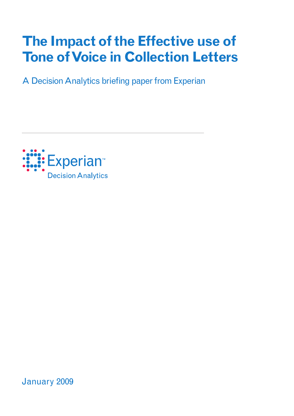# **The Impact of the Effective use of Tone of Voice in Collection Letters**

A Decision Analytics briefing paper from Experian



January 2009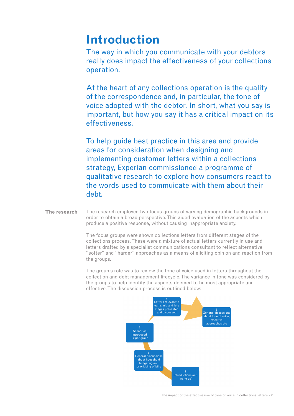## **Introduction**

The way in which you communicate with your debtors really does impact the effectiveness of your collections operation.

At the heart of any collections operation is the quality of the correspondence and, in particular, the tone of voice adopted with the debtor. In short, what you say is important, but how you say it has a critical impact on its effectiveness.

To help guide best practice in this area and provide areas for consideration when designing and implementing customer letters within a collections strategy, Experian commissioned a programme of qualitative research to explore how consumers react to the words used to commuicate with them about their debt.

#### The research employed two focus groups of varying demographic backgrounds in order to obtain a broad perspective. This aided evaluation of the aspects which produce a positive response, without causing inappropriate anxiety. **The research**

The focus groups were shown collections letters from different stages of the collections process. These were a mixture of actual letters currently in use and letters drafted by a specialist communications consultant to reflect alternative "softer" and "harder" approaches as a means of eliciting opinion and reaction from the groups.

The group's role was to review the tone of voice used in letters throughout the collection and debt management lifecycle. The variance in tone was considered by the groups to help identify the aspects deemed to be most appropriate and effective. The discussion process is outlined below:

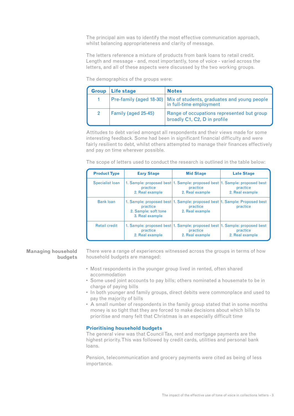The principal aim was to identify the most effective communication approach, whilst balancing appropriateness and clarity of message.

The letters reference a mixture of products from bank loans to retail credit. Length and message - and, most importantly, tone of voice - varied across the letters, and all of these aspects were discussed by the two working groups.

| <b>Group</b>  | Life stage          | <b>Notes</b>                                                                                     |
|---------------|---------------------|--------------------------------------------------------------------------------------------------|
|               |                     | Pre-family (aged 18-30)   Mix of students, graduates and young people<br>in full-time employment |
| $\mathcal{P}$ | Family (aged 25-45) | Range of occupations represented but group<br>broadly C1, C2, D in profile                       |

The demographics of the groups were:

Attitudes to debt varied amongst all respondents and their views made for some interesting feedback. Some had been in significant financial difficulty and were fairly resilient to debt, whilst others attempted to manage their finances effectively and pay on time wherever possible.

The scope of letters used to conduct the research is outlined in the table below:

| <b>Product Type</b>  | <b>Eary Stage</b>                                   | <b>Mid Stage</b>                                                                                          | <b>Late Stage</b>           |
|----------------------|-----------------------------------------------------|-----------------------------------------------------------------------------------------------------------|-----------------------------|
| Specialist Ioan      | practice<br>2. Real example                         | 1. Sample: proposed best 1. Sample: proposed best 1. Sample: proposed best<br>practice<br>2. Real example | practice<br>2. Real example |
| <b>Bank loan</b>     | practice<br>2. Sample: soft tone<br>3. Real example | 1. Sample: proposed best 1. Sample: proposed best 1. Sample: Proposed best<br>practice<br>2. Real example | practice                    |
| <b>Retail credit</b> | practice<br>2. Real example                         | 1. Sample: proposed best 1. Sample: proposed best 1. Sample: proposed best<br>practice<br>2. Real example | practice<br>2. Real example |

#### **Managing household budgets**

There were a range of experiences witnessed across the groups in terms of how household budgets are managed:

- Most respondents in the younger group lived in rented, often shared accommodation
- Some used joint accounts to pay bills; others nominated a housemate to be in charge of paying bills
- In both younger and family groups, direct debits were commonplace and used to pay the majority of bills
- A small number of respondents in the family group stated that in some months money is so tight that they are forced to make decisions about which bills to prioritise and many felt that Christmas is an especially difficult time

### **Prioritising household budgets**

The general view was that Council Tax, rent and mortgage payments are the highest priority. This was followed by credit cards, utilities and personal bank loans.

Pension, telecommunication and grocery payments were cited as being of less importance.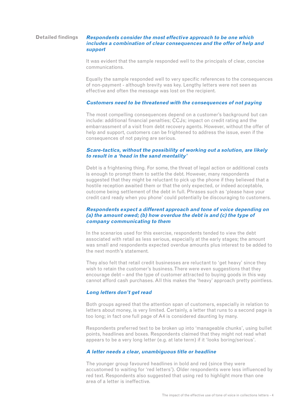#### **Detailed findings**

#### **Respondents consider the most effective approach to be one which includes a combination of clear consequences and the offer of help and support**

It was evident that the sample responded well to the principals of clear, concise communications.

Equally the sample responded well to very specific references to the consequences of non-payment - although brevity was key. Lengthy letters were not seen as effective and often the message was lost on the recipient.

#### **Customers need to be threatened with the consequences of not paying**

The most compelling consequences depend on a customer's background but can include: additional financial penalties; CCJs; impact on credit rating and the embarrassment of a visit from debt recovery agents. However, without the offer of help and support, customers can be frightened to address the issue, even if the consequences of not paying are serious.

#### **Scare-tactics, without the possibility of working out a solution, are likely to result in a 'head in the sand mentality'**

Debt is a frightening thing. For some, the threat of legal action or additional costs is enough to prompt them to settle the debt. However, many respondents suggested that they might be reluctant to pick up the phone if they believed that a hostile reception awaited them or that the only expected, or indeed acceptable, outcome being settlement of the debt in full. Phrases such as 'please have your credit card ready when you phone' could potentially be discouraging to customers.

#### **Respondents expect a different approach and tone of voice depending on (a) the amount owed; (b) how overdue the debt is and (c) the type of company communicating to them**

In the scenarios used for this exercise, respondents tended to view the debt associated with retail as less serious, especially at the early stages; the amount was small and respondents expected overdue amounts plus interest to be added to the next month's statement.

They also felt that retail credit businesses are reluctant to 'get heavy' since they wish to retain the customer's business. There were even suggestions that they encourage debt – and the type of customer attracted to buying goods in this way cannot afford cash purchases. All this makes the 'heavy' approach pretty pointless.

#### **Long letters don't get read**

Both groups agreed that the attention span of customers, especially in relation to letters about money, is very limited. Certainly, a letter that runs to a second page is too long; in fact one full page of A4 is considered daunting by many.

Respondents preferred text to be broken up into 'manageable chunks', using bullet points, headlines and boxes. Respondents claimed that they might not read what appears to be a very long letter (e.g. at late term) if it 'looks boring/serious'.

#### **A letter needs a clear, unambiguous title or headline**

The younger group favoured headlines in bold and red (since they were accustomed to waiting for 'red letters'). Older respondents were less influenced by red text. Respondents also suggested that using red to highlight more than one area of a letter is ineffective.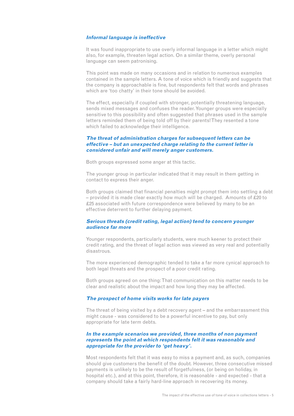#### **Informal language is ineffective**

It was found inappropriate to use overly informal language in a letter which might also, for example, threaten legal action. On a similar theme, overly personal language can seem patronising.

This point was made on many occasions and in relation to numerous examples contained in the sample letters. A tone of voice which is friendly and suggests that the company is approachable is fine, but respondents felt that words and phrases which are 'too chatty' in their tone should be avoided.

The effect, especially if coupled with stronger, potentially threatening language, sends mixed messages and confuses the reader. Younger groups were especially sensitive to this possibility and often suggested that phrases used in the sample letters reminded them of being told off by their parents! They resented a tone which failed to acknowledge their intelligence.

#### **The threat of administration charges for subsequent letters can be effective – but an unexpected charge relating to the current letter is considered unfair and will merely anger customers.**

Both groups expressed some anger at this tactic.

The younger group in particular indicated that it may result in them getting in contact to express their anger.

Both groups claimed that financial penalties might prompt them into settling a debt – provided it is made clear exactly how much will be charged. Amounts of £20 to £25 associated with future correspondence were believed by many to be an effective deterrent to further delaying payment.

#### **Serious threats (credit rating, legal action) tend to concern younger audience far more**

Younger respondents, particularly students, were much keener to protect their credit rating, and the threat of legal action was viewed as very real and potentially disastrous.

The more experienced demographic tended to take a far more cynical approach to both legal threats and the prospect of a poor credit rating.

Both groups agreed on one thing: That communication on this matter needs to be clear and realistic about the impact and how long they may be affected.

#### **The prospect of home visits works for late payers**

The threat of being visited by a debt recovery agent – and the embarrassment this might cause - was considered to be a powerful incentive to pay, but only appropriate for late term debts.

#### **In the example scenarios we provided, three months of non payment represents the point at which respondents felt it was reasonable and appropriate for the provider to 'get heavy'.**

Most respondents felt that it was easy to miss a payment and, as such, companies should give customers the benefit of the doubt. However, three consecutive missed payments is unlikely to be the result of forgetfulness, (or being on holiday, in hospital etc.), and at this point, therefore, it is reasonable - and expected - that a company should take a fairly hard-line approach in recovering its money.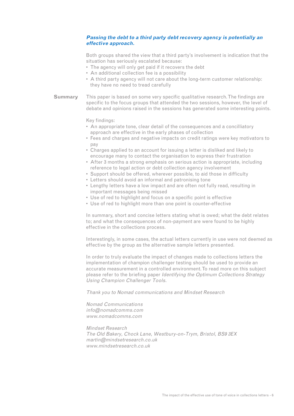### **Passing the debt to a third party debt recovery agency is potentially an effective approach.**

Both groups shared the view that a third party's involvement is indication that the situation has seriously escalated because:

- The agency will only get paid if it recovers the debt
- An additional collection fee is a possibility
- A third party agency will not care about the long-term customer relationship: they have no need to tread carefully
- This paper is based on some very specific qualitative research. The findings are specific to the focus groups that attended the two sessions, however, the level of debate and opinions raised in the sessions has generated some interesting points. **Summary**

Key findings:

- An appropriate tone, clear detail of the consequences and a concilliatory approach are effective in the early phases of collection
- Fees and charges and negative impacts on credit ratings were key motivators to pay
- Charges applied to an account for issuing a letter is disliked and likely to encourage many to contact the organisation to express their frustration
- After 3 months a strong emphasis on serious action is appropriate, including reference to legal action or debt collection agency involvement
- Support should be offered, wherever possible, to aid those in difficulty
- Letters should avoid an informal and patronising tone
- Lengthy letters have a low impact and are often not fully read, resulting in important messages being missed
- Use of red to highlight and focus on a specific point is effective
- Use of red to highlight more than one point is counter-effective

In summary, short and concise letters stating what is owed; what the debt relates to; and what the consequences of non-payment are were found to be highly effective in the collections process.

Interestingly, in some cases, the actual letters currently in use were not deemed as effective by the group as the alternative sample letters presented.

In order to truly evaluate the impact of changes made to collections letters the implementation of champion challenger testing should be used to provide an accurate measurement in a controlled environment. To read more on this subject please refer to the briefing paper Identifying the Optimum Collections Strategy Using Champion Challenger Tools.

Thank you to Nomad communications and Mindset Research

Nomad Communications info@nomadcomms.com www.nomadcomms.com

Mindset Research The Old Bakery, Chock Lane, Westbury-on-Trym, Bristol, BS9 3EX martin@mindsetresearch.co.uk www.mindsetresearch.co.uk